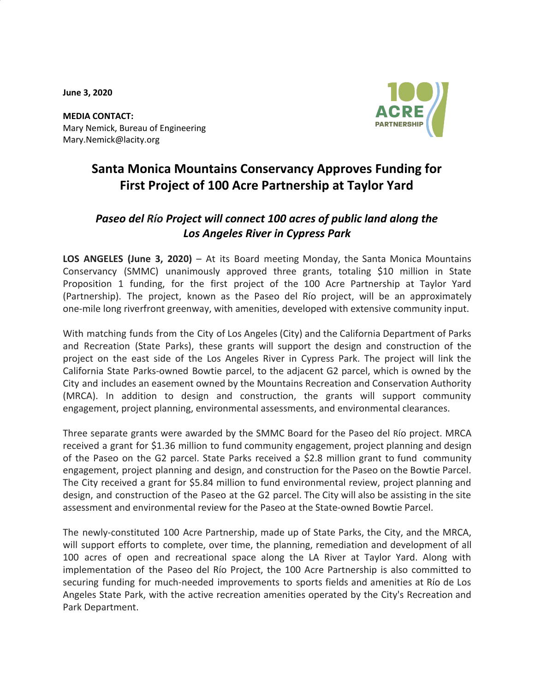**June 3, 2020**



**MEDIA CONTACT:** Mary Nemick, Bureau of Engineering Mary.Nemick@lacity.org

# **Santa Monica Mountains Conservancy Approves Funding for First Project of 100 Acre Partnership at Taylor Yard**

# *Paseo del Río Project will connect 100 acres of public land along the Los Angeles River in Cypress Park*

**LOS ANGELES (June 3, 2020)** – At its Board meeting Monday, the Santa Monica Mountains Conservancy (SMMC) unanimously approved three grants, totaling \$10 million in State Proposition 1 funding, for the first project of the 100 Acre Partnership at Taylor Yard (Partnership). The project, known as the Paseo del Río project, will be an approximately one-mile long riverfront greenway, with amenities, developed with extensive community input.

With matching funds from the City of Los Angeles (City) and the California Department of Parks and Recreation (State Parks), these grants will support the design and construction of the project on the east side of the Los Angeles River in Cypress Park. The project will link the California State Parks-owned Bowtie parcel, to the adjacent G2 parcel, which is owned by the City and includes an easement owned by the Mountains Recreation and Conservation Authority (MRCA). In addition to design and construction, the grants will support community engagement, project planning, environmental assessments, and environmental clearances.

Three separate grants were awarded by the SMMC Board for the Paseo del Río project. MRCA received a grant for \$1.36 million to fund community engagement, project planning and design of the Paseo on the G2 parcel. State Parks received a \$2.8 million grant to fund community engagement, project planning and design, and construction for the Paseo on the Bowtie Parcel. The City received a grant for \$5.84 million to fund environmental review, project planning and design, and construction of the Paseo at the G2 parcel. The City will also be assisting in the site assessment and environmental review for the Paseo at the State-owned Bowtie Parcel.

The newly-constituted 100 Acre Partnership, made up of State Parks, the City, and the MRCA, will support efforts to complete, over time, the planning, remediation and development of all 100 acres of open and recreational space along the LA River at Taylor Yard. Along with implementation of the Paseo del Río Project, the 100 Acre Partnership is also committed to securing funding for much-needed improvements to sports fields and amenities at Río de Los Angeles State Park, with the active recreation amenities operated by the City's Recreation and Park Department.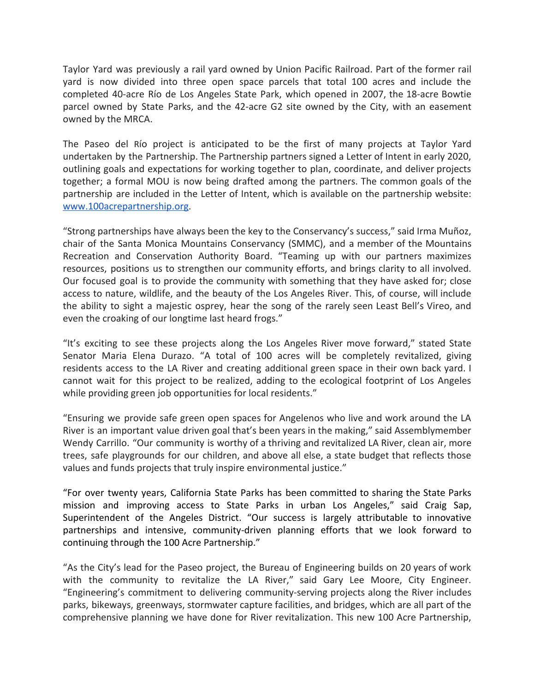Taylor Yard was previously a rail yard owned by Union Pacific Railroad. Part of the former rail yard is now divided into three open space parcels that total 100 acres and include the completed 40-acre Río de Los Angeles State Park, which opened in 2007, the 18-acre Bowtie parcel owned by State Parks, and the 42-acre G2 site owned by the City, with an easement owned by the MRCA.

The Paseo del Río project is anticipated to be the first of many projects at Taylor Yard undertaken by the Partnership. The Partnership partners signed a Letter of Intent in early 2020, outlining goals and expectations for working together to plan, coordinate, and deliver projects together; a formal MOU is now being drafted among the partners. The common goals of the partnership are included in the Letter of Intent, which is available on the partnership website: [www.100acrepartnership.org.](http://www.100acrepartnership.org/)

"Strong partnerships have always been the key to the Conservancy's success," said Irma Muñoz, chair of the Santa Monica Mountains Conservancy (SMMC), and a member of the Mountains Recreation and Conservation Authority Board. "Teaming up with our partners maximizes resources, positions us to strengthen our community efforts, and brings clarity to all involved. Our focused goal is to provide the community with something that they have asked for; close access to nature, wildlife, and the beauty of the Los Angeles River. This, of course, will include the ability to sight a majestic osprey, hear the song of the rarely seen Least Bell's Vireo, and even the croaking of our longtime last heard frogs."

"It's exciting to see these projects along the Los Angeles River move forward," stated State Senator Maria Elena Durazo. "A total of 100 acres will be completely revitalized, giving residents access to the LA River and creating additional green space in their own back yard. I cannot wait for this project to be realized, adding to the ecological footprint of Los Angeles while providing green job opportunities for local residents."

"Ensuring we provide safe green open spaces for Angelenos who live and work around the LA River is an important value driven goal that's been years in the making," said Assemblymember Wendy Carrillo. "Our community is worthy of a thriving and revitalized LA River, clean air, more trees, safe playgrounds for our children, and above all else, a state budget that reflects those values and funds projects that truly inspire environmental justice."

"For over twenty years, California State Parks has been committed to sharing the State Parks mission and improving access to State Parks in urban Los Angeles," said Craig Sap, Superintendent of the Angeles District. "Our success is largely attributable to innovative partnerships and intensive, community-driven planning efforts that we look forward to continuing through the 100 Acre Partnership."

"As the City's lead for the Paseo project, the Bureau of Engineering builds on 20 years of work with the community to revitalize the LA River," said Gary Lee Moore, City Engineer. "Engineering's commitment to delivering community-serving projects along the River includes parks, bikeways, greenways, stormwater capture facilities, and bridges, which are all part of the comprehensive planning we have done for River revitalization. This new 100 Acre Partnership,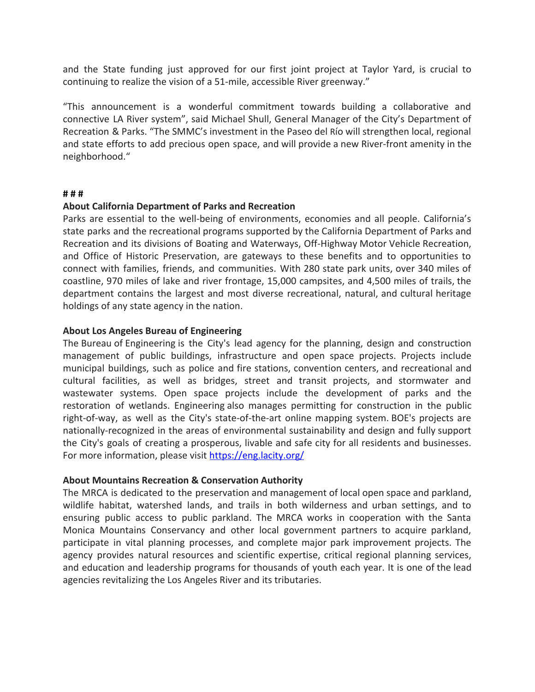and the State funding just approved for our first joint project at Taylor Yard, is crucial to continuing to realize the vision of a 51-mile, accessible River greenway."

"This announcement is a wonderful commitment towards building a collaborative and connective LA River system", said Michael Shull, General Manager of the City's Department of Recreation & Parks. "The SMMC's investment in the Paseo del Río will strengthen local, regional and state efforts to add precious open space, and will provide a new River-front amenity in the neighborhood."

#### **# # #**

## **About California Department of Parks and Recreation**

Parks are essential to the well-being of environments, economies and all people. California's state parks and the recreational programs supported by the California Department of Parks and Recreation and its divisions of Boating and Waterways, Off-Highway Motor Vehicle Recreation, and Office of Historic Preservation, are gateways to these benefits and to opportunities to connect with families, friends, and communities. With 280 state park units, over 340 miles of coastline, 970 miles of lake and river frontage, 15,000 campsites, and 4,500 miles of trails, the department contains the largest and most diverse recreational, natural, and cultural heritage holdings of any state agency in the nation.

#### **About Los Angeles Bureau of Engineering**

The Bureau of Engineering is the City's lead agency for the planning, design and construction management of public buildings, infrastructure and open space projects. Projects include municipal buildings, such as police and fire stations, convention centers, and recreational and cultural facilities, as well as bridges, street and transit projects, and stormwater and wastewater systems. Open space projects include the development of parks and the restoration of wetlands. Engineering also manages permitting for construction in the public right-of-way, as well as the City's state-of-the-art online mapping system. BOE's projects are nationally-recognized in the areas of environmental sustainability and design and fully support the City's goals of creating a prosperous, livable and safe city for all residents and businesses. For more information, please visit <https://eng.lacity.org/>

## **About Mountains Recreation & Conservation Authority**

The MRCA is dedicated to the preservation and management of local open space and parkland, wildlife habitat, watershed lands, and trails in both wilderness and urban settings, and to ensuring public access to public parkland. The MRCA works in cooperation with the Santa Monica Mountains Conservancy and other local government partners to acquire parkland, participate in vital planning processes, and complete major park improvement projects. The agency provides natural resources and scientific expertise, critical regional planning services, and education and leadership programs for thousands of youth each year. It is one of the lead agencies revitalizing the Los Angeles River and its tributaries.